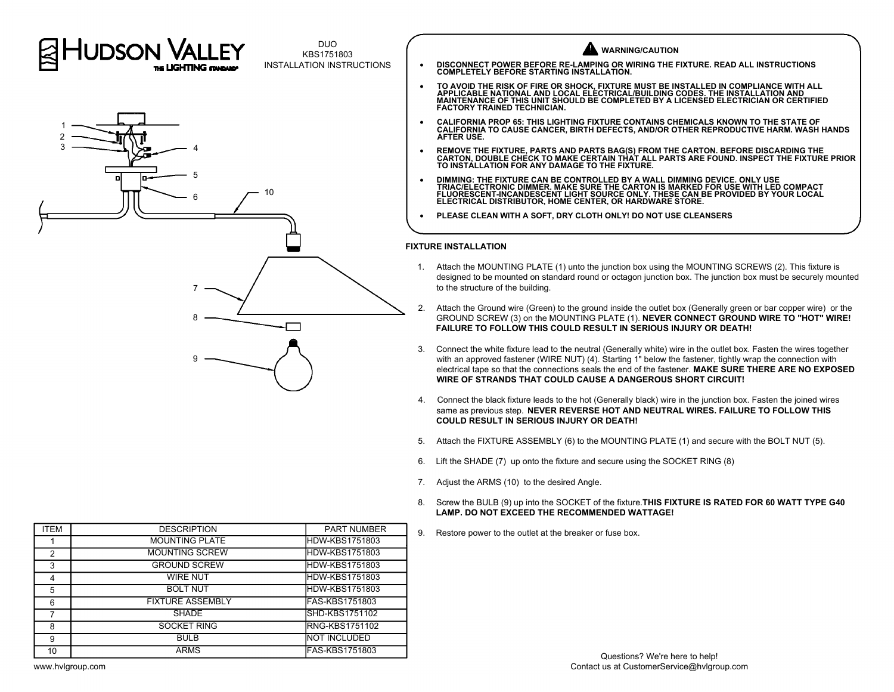

DUO KBS1751803 INSTALLATION INSTRUCTIONS





10

**WARNING/CAUTION**

- · **DISCONNECT POWER BEFORE RE-LAMPING OR WIRING THE FIXTURE. READ ALL INSTRUCTIONS COMPLETELY BEFORE STARTING INSTALLATION.**
- TO AVOID THE RISK OF FIRE OR SHOCK, FIXTURE MUST BE INSTALLED IN COMPLIANCE WITH ALL<br>APPLICABLE NATIONAL AND LOCAL ELECTRICAL/BUILDING CODES. THE INSTALLATION AND<br>MAINTENANCE OF THIS UNIT SHOULD BE COMPLETED BY A **FACTORY TRAINED TECHNICIAN.**
- · **CALIFORNIA PROP 65: THIS LIGHTING FIXTURE CONTAINS CHEMICALS KNOWN TO THE STATE OF CALIFORNIA TO CAUSE CANCER, BIRTH DEFECTS, AND/OR OTHER REPRODUCTIVE HARM. WASH HANDS AFTER USE.**
- · **REMOVE THE FIXTURE, PARTS AND PARTS BAG(S) FROM THE CARTON. BEFORE DISCARDING THE CARTON, DOUBLE CHECK TO MAKE CERTAIN THAT ALL PARTS ARE FOUND. INSPECT THE FIXTURE PRIOR TO INSTALLATION FOR ANY DAMAGE TO THE FIXTURE.**
- DIMMING: THE FIXTURE CAN BE CONTROLLED BY A WALL DIMMING DEVICE. ONLY USE<br>TRIAC/ELECTRONIC DIMMER. MAKE SURE THE CARTON IS MARKED FOR USE WITH LED COMPACT<br>FLUORESCENT-INCANDESCENT LIGHT SOURCE ONLY. THESE CAN BE PROVIDED **ELECTRICAL DISTRIBUTOR, HOME CENTER, OR HARDWARE STORE.**
- · **PLEASE CLEAN WITH A SOFT, DRY CLOTH ONLY! DO NOT USE CLEANSERS**

## **FIXTURE INSTALLATION**

- 1. Attach the MOUNTING PLATE (1) unto the junction box using the MOUNTING SCREWS (2). This fixture is designed to be mounted on standard round or octagon junction box. The junction box must be securely mounted to the structure of the building. 2. Attach the MOUNTING PLATE (1) unto the junction box using the MOUNTING SCREWS (2). This fixture is<br>designed to be mounted on standard round or octagon junction box. The junction box must be securely mounted<br>to the struc
- GROUND SCREW (3) on the MOUNTING PLATE (1). **NEVER CONNECT GROUND WIRE TO "HOT" WIRE! FAILURE TO FOLLOW THIS COULD RESULT IN SERIOUS INJURY OR DEATH!** 3. Attach the Ground wire (Green) to the ground inside the outlet box (Generally green or bar copper wire) or the GROUND SCREW (3) on the MOUNTING PLATE (1). **NEVER CONNECT GROUND WIRE TO "HOT" WIRE!**<br>FAILURE TO FOLLOW THI
- with an approved fastener (WIRE NUT) (4). Starting 1" below the fastener, tightly wrap the connection with electrical tape so that the connections seals the end of the fastener. **MAKE SURE THERE ARE NO EXPOSED WIRE OF STRANDS THAT COULD CAUSE A DANGEROUS SHORT CIRCUIT!** 3. Connect the white fixture lead to the neutral (Generally white) wire in the outlet box. Fasten the wires together with an approved fastener (WIRE NUT) (4). Starting 1" below the fastener, thank E SURE THERE ARE NO EXPOS
- same as previous step. **NEVER REVERSE HOT AND NEUTRAL WIRES. FAILURE TO FOLLOW THIS COULD RESULT IN SERIOUS INJURY OR DEATH!** 5. Attach the FIXTURE ASSEMBLY (6) to the MOUNTING PLATE (1) and secure with the BOLT NUT (5).<br>5. Attach the FIXTURE ASSEMBLY (6) to the MOUNTING PLATE (1) and secure with the BOLT NUT (5). Same as previous step. NEVER KEVERSE HOT AND NEUTRAL WIRES. FAILURE<br>COULD RESULT IN SERIOUS INJURY OR DEATH!<br>5. Attach the FIXTURE ASSEMBLY (6) to the MOUNTING PLATE (1) and secure with 1<br>6. Lift the SHADE (7) up onto the
- 5. Attach the FIXTURE ASSEMBLY (6) to the MOU<br>6. Lift the SHADE (7) up onto the fixture and secure<br>7. Adjust the ARMS (10) to the desired Angle.
- 
- 
- 8. Lift the SHADE (7) up onto the fixture and secure using the SOCKET RING (8)<br>7. Adjust the ARMS (10) to the desired Angle.<br>8. Screw the BULB (9) up into the SOCKET of the fixture.**THIS FIXTURE IS RATED FOR 60 WATT TYPE G LAMP. DO NOT EXCEED THE RECOMMENDED WATTAGE!** 9. Adjust the ARMS (10) to the desired Angle.<br>
9. Screw the BULB (9) up into the SOCKET of the fixture. THI<br> **LAMP. DO NOT EXCEED THE RECOMMENDED WATTA**<br>
9. Restore power to the outlet at the breaker or fuse box.
- 

| <b>ITEM</b>    | <b>DESCRIPTION</b>      | <b>PART NUMBER</b>     | 9. |
|----------------|-------------------------|------------------------|----|
|                | <b>MOUNTING PLATE</b>   | <b>HDW-KBS1751803</b>  |    |
| $\overline{2}$ | <b>MOUNTING SCREW</b>   | HDW-KBS1751803         |    |
| 3              | <b>GROUND SCREW</b>     | <b>HDW-KBS1751803</b>  |    |
| 4              | <b>WIRE NUT</b>         | <b>HDW-KBS1751803</b>  |    |
| 5              | <b>BOLT NUT</b>         | <b>HDW-KBS1751803</b>  |    |
| 6              | <b>FIXTURE ASSEMBLY</b> | <b>IFAS-KBS1751803</b> |    |
|                | <b>SHADE</b>            | SHD-KBS1751102         |    |
| 8              | <b>SOCKET RING</b>      | <b>RNG-KBS1751102</b>  |    |
| 9              | <b>BULB</b>             | <b>INOT INCLUDED</b>   |    |
| 10             | <b>ARMS</b>             | <b>IFAS-KBS1751803</b> |    |